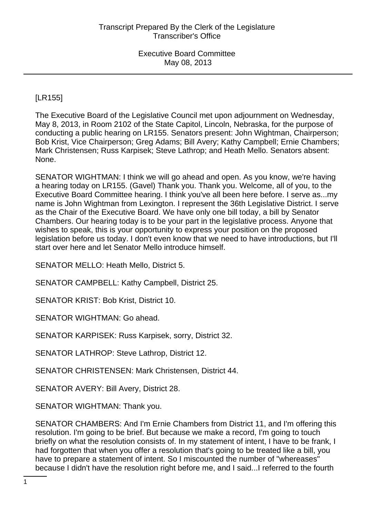Executive Board Committee May 08, 2013

## [LR155]

The Executive Board of the Legislative Council met upon adjournment on Wednesday, May 8, 2013, in Room 2102 of the State Capitol, Lincoln, Nebraska, for the purpose of conducting a public hearing on LR155. Senators present: John Wightman, Chairperson; Bob Krist, Vice Chairperson; Greg Adams; Bill Avery; Kathy Campbell; Ernie Chambers; Mark Christensen; Russ Karpisek; Steve Lathrop; and Heath Mello. Senators absent: None.

SENATOR WIGHTMAN: I think we will go ahead and open. As you know, we're having a hearing today on LR155. (Gavel) Thank you. Thank you. Welcome, all of you, to the Executive Board Committee hearing. I think you've all been here before. I serve as...my name is John Wightman from Lexington. I represent the 36th Legislative District. I serve as the Chair of the Executive Board. We have only one bill today, a bill by Senator Chambers. Our hearing today is to be your part in the legislative process. Anyone that wishes to speak, this is your opportunity to express your position on the proposed legislation before us today. I don't even know that we need to have introductions, but I'll start over here and let Senator Mello introduce himself.

SENATOR MELLO: Heath Mello, District 5.

SENATOR CAMPBELL: Kathy Campbell, District 25.

SENATOR KRIST: Bob Krist, District 10.

SENATOR WIGHTMAN: Go ahead.

SENATOR KARPISEK: Russ Karpisek, sorry, District 32.

SENATOR LATHROP: Steve Lathrop, District 12.

SENATOR CHRISTENSEN: Mark Christensen, District 44.

SENATOR AVERY: Bill Avery, District 28.

SENATOR WIGHTMAN: Thank you.

SENATOR CHAMBERS: And I'm Ernie Chambers from District 11, and I'm offering this resolution. I'm going to be brief. But because we make a record, I'm going to touch briefly on what the resolution consists of. In my statement of intent, I have to be frank, I had forgotten that when you offer a resolution that's going to be treated like a bill, you have to prepare a statement of intent. So I miscounted the number of "whereases" because I didn't have the resolution right before me, and I said...I referred to the fourth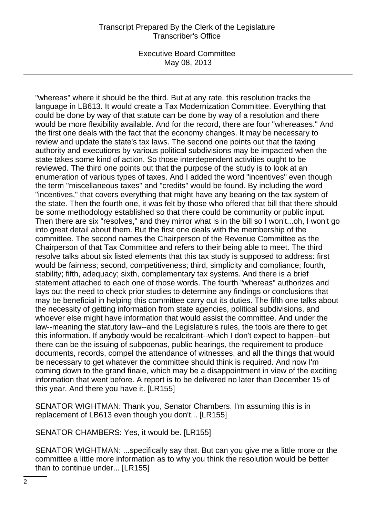## Transcript Prepared By the Clerk of the Legislature Transcriber's Office

Executive Board Committee May 08, 2013

"whereas" where it should be the third. But at any rate, this resolution tracks the language in LB613. It would create a Tax Modernization Committee. Everything that could be done by way of that statute can be done by way of a resolution and there would be more flexibility available. And for the record, there are four "whereases." And the first one deals with the fact that the economy changes. It may be necessary to review and update the state's tax laws. The second one points out that the taxing authority and executions by various political subdivisions may be impacted when the state takes some kind of action. So those interdependent activities ought to be reviewed. The third one points out that the purpose of the study is to look at an enumeration of various types of taxes. And I added the word "incentives" even though the term "miscellaneous taxes" and "credits" would be found. By including the word "incentives," that covers everything that might have any bearing on the tax system of the state. Then the fourth one, it was felt by those who offered that bill that there should be some methodology established so that there could be community or public input. Then there are six "resolves," and they mirror what is in the bill so I won't...oh, I won't go into great detail about them. But the first one deals with the membership of the committee. The second names the Chairperson of the Revenue Committee as the Chairperson of that Tax Committee and refers to their being able to meet. The third resolve talks about six listed elements that this tax study is supposed to address: first would be fairness; second, competitiveness; third, simplicity and compliance; fourth, stability; fifth, adequacy; sixth, complementary tax systems. And there is a brief statement attached to each one of those words. The fourth "whereas" authorizes and lays out the need to check prior studies to determine any findings or conclusions that may be beneficial in helping this committee carry out its duties. The fifth one talks about the necessity of getting information from state agencies, political subdivisions, and whoever else might have information that would assist the committee. And under the law--meaning the statutory law--and the Legislature's rules, the tools are there to get this information. If anybody would be recalcitrant--which I don't expect to happen--but there can be the issuing of subpoenas, public hearings, the requirement to produce documents, records, compel the attendance of witnesses, and all the things that would be necessary to get whatever the committee should think is required. And now I'm coming down to the grand finale, which may be a disappointment in view of the exciting information that went before. A report is to be delivered no later than December 15 of this year. And there you have it. [LR155]

SENATOR WIGHTMAN: Thank you, Senator Chambers. I'm assuming this is in replacement of LB613 even though you don't... [LR155]

SENATOR CHAMBERS: Yes, it would be. [LR155]

SENATOR WIGHTMAN: ...specifically say that. But can you give me a little more or the committee a little more information as to why you think the resolution would be better than to continue under... [LR155]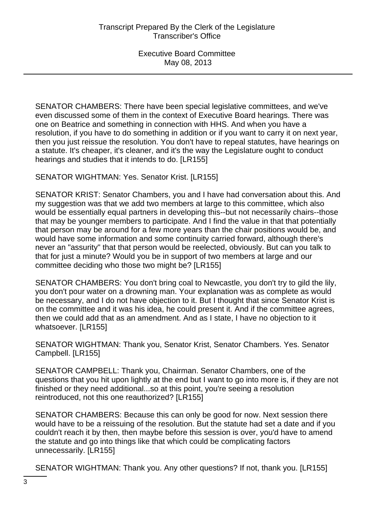Executive Board Committee May 08, 2013

SENATOR CHAMBERS: There have been special legislative committees, and we've even discussed some of them in the context of Executive Board hearings. There was one on Beatrice and something in connection with HHS. And when you have a resolution, if you have to do something in addition or if you want to carry it on next year, then you just reissue the resolution. You don't have to repeal statutes, have hearings on a statute. It's cheaper, it's cleaner, and it's the way the Legislature ought to conduct hearings and studies that it intends to do. [LR155]

SENATOR WIGHTMAN: Yes. Senator Krist. [LR155]

SENATOR KRIST: Senator Chambers, you and I have had conversation about this. And my suggestion was that we add two members at large to this committee, which also would be essentially equal partners in developing this--but not necessarily chairs--those that may be younger members to participate. And I find the value in that that potentially that person may be around for a few more years than the chair positions would be, and would have some information and some continuity carried forward, although there's never an "assurity" that that person would be reelected, obviously. But can you talk to that for just a minute? Would you be in support of two members at large and our committee deciding who those two might be? [LR155]

SENATOR CHAMBERS: You don't bring coal to Newcastle, you don't try to gild the lily, you don't pour water on a drowning man. Your explanation was as complete as would be necessary, and I do not have objection to it. But I thought that since Senator Krist is on the committee and it was his idea, he could present it. And if the committee agrees, then we could add that as an amendment. And as I state, I have no objection to it whatsoever. [LR155]

SENATOR WIGHTMAN: Thank you, Senator Krist, Senator Chambers. Yes. Senator Campbell. [LR155]

SENATOR CAMPBELL: Thank you, Chairman. Senator Chambers, one of the questions that you hit upon lightly at the end but I want to go into more is, if they are not finished or they need additional...so at this point, you're seeing a resolution reintroduced, not this one reauthorized? [LR155]

SENATOR CHAMBERS: Because this can only be good for now. Next session there would have to be a reissuing of the resolution. But the statute had set a date and if you couldn't reach it by then, then maybe before this session is over, you'd have to amend the statute and go into things like that which could be complicating factors unnecessarily. [LR155]

SENATOR WIGHTMAN: Thank you. Any other questions? If not, thank you. [LR155]